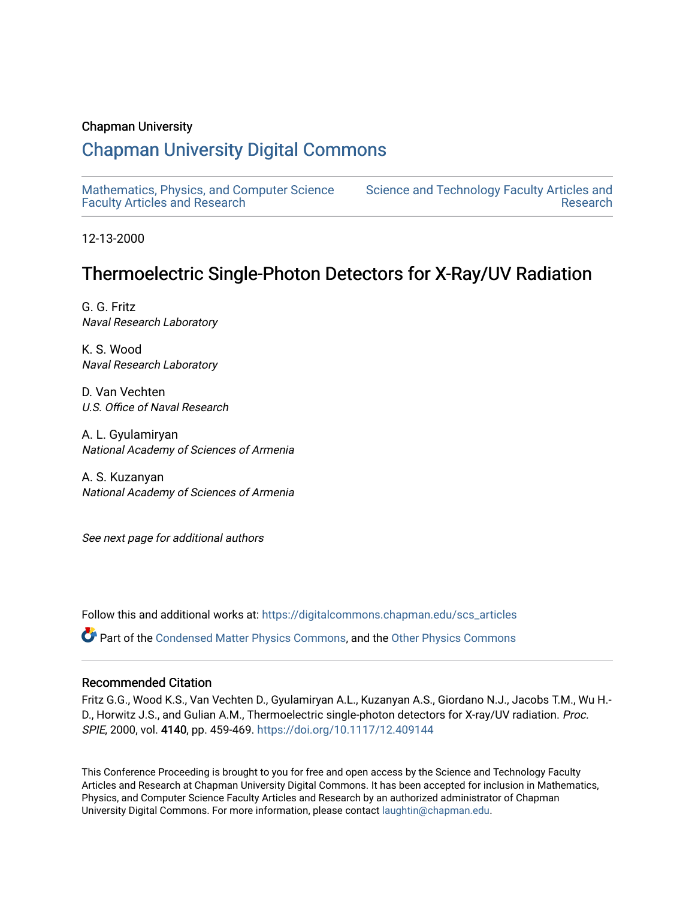### Chapman University

# [Chapman University Digital Commons](https://digitalcommons.chapman.edu/)

[Mathematics, Physics, and Computer Science](https://digitalcommons.chapman.edu/scs_articles)  [Faculty Articles and Research](https://digitalcommons.chapman.edu/scs_articles)

[Science and Technology Faculty Articles and](https://digitalcommons.chapman.edu/science_articles)  [Research](https://digitalcommons.chapman.edu/science_articles) 

12-13-2000

# Thermoelectric Single-Photon Detectors for X-Ray/UV Radiation

G. G. Fritz Naval Research Laboratory

K. S. Wood Naval Research Laboratory

D. Van Vechten U.S. Office of Naval Research

A. L. Gyulamiryan National Academy of Sciences of Armenia

A. S. Kuzanyan National Academy of Sciences of Armenia

See next page for additional authors

Follow this and additional works at: [https://digitalcommons.chapman.edu/scs\\_articles](https://digitalcommons.chapman.edu/scs_articles?utm_source=digitalcommons.chapman.edu%2Fscs_articles%2F764&utm_medium=PDF&utm_campaign=PDFCoverPages) 

Part of the [Condensed Matter Physics Commons,](http://network.bepress.com/hgg/discipline/197?utm_source=digitalcommons.chapman.edu%2Fscs_articles%2F764&utm_medium=PDF&utm_campaign=PDFCoverPages) and the [Other Physics Commons](http://network.bepress.com/hgg/discipline/207?utm_source=digitalcommons.chapman.edu%2Fscs_articles%2F764&utm_medium=PDF&utm_campaign=PDFCoverPages) 

### Recommended Citation

Fritz G.G., Wood K.S., Van Vechten D., Gyulamiryan A.L., Kuzanyan A.S., Giordano N.J., Jacobs T.M., Wu H.- D., Horwitz J.S., and Gulian A.M., Thermoelectric single-photon detectors for X-ray/UV radiation. Proc. SPIE, 2000, vol. 4140, pp. 459-469. [https://doi.org/10.1117/12.409144](https://doi.or/10.1117/12.409144)

This Conference Proceeding is brought to you for free and open access by the Science and Technology Faculty Articles and Research at Chapman University Digital Commons. It has been accepted for inclusion in Mathematics, Physics, and Computer Science Faculty Articles and Research by an authorized administrator of Chapman University Digital Commons. For more information, please contact [laughtin@chapman.edu.](mailto:laughtin@chapman.edu)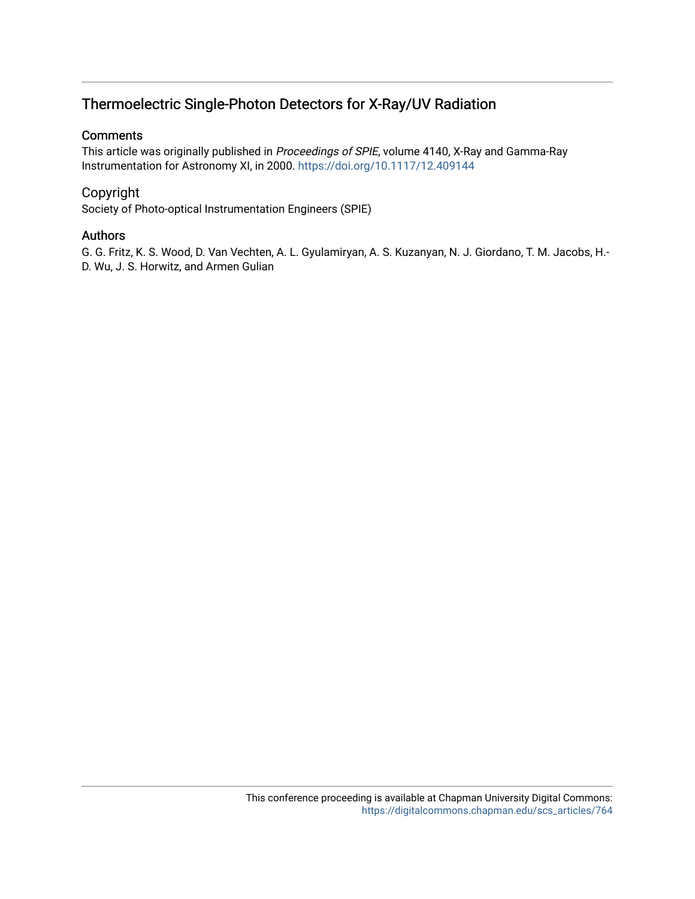## Thermoelectric Single-Photon Detectors for X-Ray/UV Radiation

### **Comments**

This article was originally published in Proceedings of SPIE, volume 4140, X-Ray and Gamma-Ray Instrumentation for Astronomy XI, in 2000. <https://doi.org/10.1117/12.409144>

## Copyright

Society of Photo-optical Instrumentation Engineers (SPIE)

## Authors

G. G. Fritz, K. S. Wood, D. Van Vechten, A. L. Gyulamiryan, A. S. Kuzanyan, N. J. Giordano, T. M. Jacobs, H.- D. Wu, J. S. Horwitz, and Armen Gulian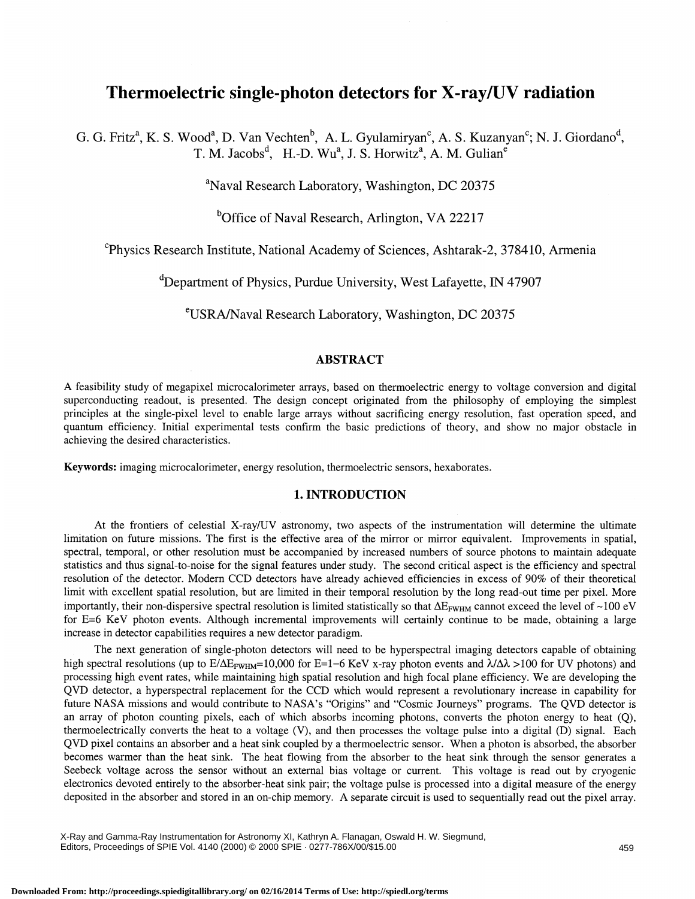## Thermoelectric single-photon detectors for X-ray/UV radiation

G. G. Fritz<sup>a</sup>, K. S. Wood<sup>a</sup>, D. Van Vechten<sup>b</sup>, A. L. Gyulamiryan<sup>c</sup>, A. S. Kuzanyan<sup>c</sup>; N. J. Giordano<sup>d</sup>, T. M. Jacobs<sup>d</sup>, H.-D. Wu<sup>a</sup>, J. S. Horwitz<sup>a</sup>, A. M. Gulian<sup>e</sup>

<sup>a</sup>Naval Research Laboratory, Washington, DC 20375

<sup>b</sup>Office of Naval Research, Arlington, VA 22217

 $\text{<sup>c</sup>Physics Research Institute, National Academy of Sciences, Ashtarak-2, 378410, Armenia}$ 

<sup>d</sup>Department of Physics, Purdue University, West Lafayette, IN 47907

 $\text{e}^{\text{e}}$ USRA/Naval Research Laboratory, Washington, DC 20375

### ABSTRACT

A feasibility study of megapixel microcalorimeter arrays, based on thermoelectric energy to voltage conversion and digital superconducting readout, is presented. The design concept originated from the philosophy of employing the simplest principles at the single-pixel level to enable large arrays without sacrificing energy resolution, fast operation speed, and quantum efficiency. Initial experimental tests confirm the basic predictions of theory, and show no major obstacle in achieving the desired characteristics.

Keywords: imaging microcalorimeter, energy resolution, thermoelectric sensors, hexaborates.

#### 1. INTRODUCTION

At the frontiers of celestial X-ray/UV astronomy, two aspects of the instrumentation will determine the ultimate limitation on future missions. The first is the effective area of the mirror or mirror equivalent. Improvements in spatial, spectral, temporal, or other resolution must be accompanied by increased numbers of source photons to maintain adequate statistics and thus signal-to-noise for the signal features under study. The second critical aspect is the efficiency and spectral resolution of the detector. Modern CCD detectors have already achieved efficiencies in excess of 90% of their theoretical limit with excellent spatial resolution, but are limited in their temporal resolution by the long read-out time per pixel. More importantly, their non-dispersive spectral resolution is limited statistically so that  $\Delta E_{FWHM}$  cannot exceed the level of ~100 eV for E=6 KeV photon events. Although incremental improvements will certainly continue to be made, obtaining a large increase in detector capabilities requires a new detector paradigm.

The next generation of single-photon detectors will need to be hyperspectral imaging detectors capable of obtaining high spectral resolutions (up to  $E/\Delta E_{FWHM}=10,000$  for  $E=1-6$  KeV x-ray photon events and  $\lambda/\Delta\lambda >100$  for UV photons) and processing high event rates, while maintaining high spatial resolution and high focal plane efficiency. We are developing the QVD detector, a hyperspectral replacement for the CCD which would represent a revolutionary increase in capability for future NASA missions and would contribute to NASA's "Origins" and "Cosmic Journeys" programs. The QVD detector is an array of photon counting pixels, each of which absorbs incoming photons, converts the photon energy to heat (Q), thermoelectrically converts the heat to a voltage (V), and then processes the voltage pulse into a digital (D) signal. Each QVD pixel contains an absorber and a heat sink coupled by a thermoelectric sensor. When a photon is absorbed, the absorber becomes warmer than the heat sink. The heat flowing from the absorber to the heat sink through the sensor generates a Seebeck voltage across the sensor without an external bias voltage or current. This voltage is read out by cryogenic electronics devoted entirely to the absorber-heat sink pair; the voltage pulse is processed into a digital measure of the energy deposited in the absorber and stored in an on-chip memory. A separate circuit is used to sequentially read out the pixel array.

X-Ray and Gamma-Ray Instrumentation for Astronomy XI, Kathryn A. Flanagan, Oswald H. W. Siegmund, Editors, Proceedings of SPIE Vol. 4140 (2000) © 2000 SPIE · 0277-786X/00/\$15.00 459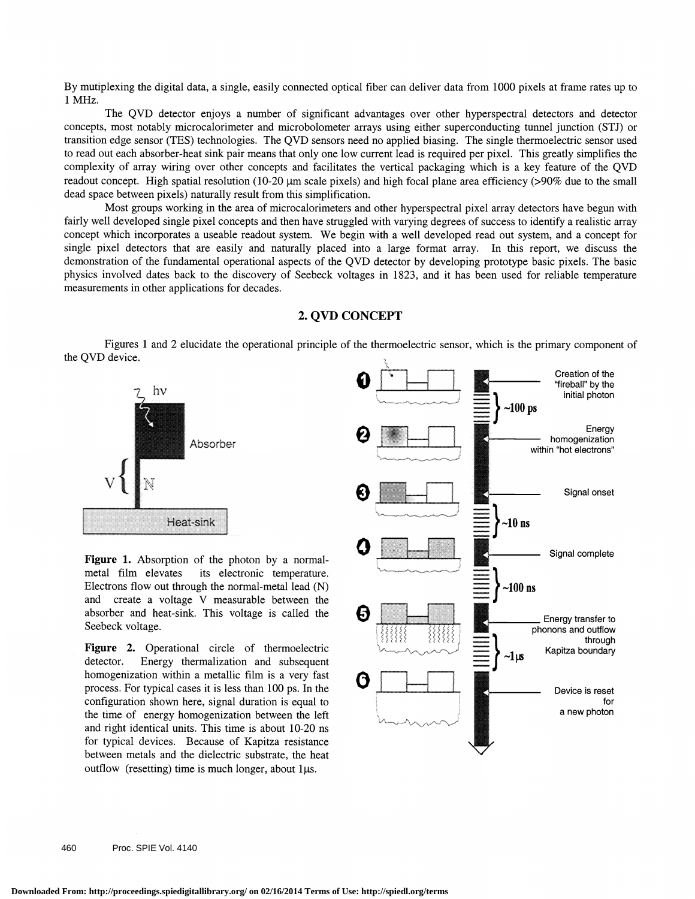By mutiplexing the digital data, a single, easily connected optical fiber can deliver data from 1000 pixels at frame rates up to 1 MHz.

The QVD detector enjoys a number of significant advantages over other hyperspectral detectors and detector concepts, most notably microcalorimeter and microbolometer arrays using either superconducting tunnel junction (STJ) or transition edge sensor (TES) technologies. The QVD sensors need no applied biasing. The single thermoelectric sensor used to read out each absorber-heat sink pair means that only one low current lead is required per pixel. This greatly simplifies the complexity of array wiring over other concepts and facilitates the vertical packaging which is a key feature of the QVD readout concept. High spatial resolution (10-20  $\mu$ m scale pixels) and high focal plane area efficiency (>90% due to the small dead space between pixels) naturally result from this simplification.

Most groups working in the area of microcalorimeters and other hyperspectral pixel array detectors have begun with fairly well developed single pixel concepts and then have struggled with varying degrees of success to identify a realistic array concept which incorporates a useable readout system. We begin with a well developed read out system, and a concept for single pixel detectors that are easily and naturally placed into a large format array. In this report, we discuss the demonstration of the fundamental operational aspects of the QVD detector by developing prototype basic pixels. The basic physics involved dates back to the discovery of Seebeck voltages in 1823, and it has been used for reliable temperature measurements in other applications for decades.

#### 2. QVD CONCEPT

Figures 1 and 2 elucidate the operational principle of the thermoelectric sensor, which is the primary component of the QVD device.



Figure 1. Absorption of the photon by a normalmetal film elevates its electronic temperature. Electrons flow out through the normal-metal lead (N) and create a voltage V measurable between the absorber and heat-sink. This voltage is called the Seebeck voltage.

Figure 2. Operational circle of thermoelectric detector. Energy thermalization and subsequent homogenization within a metallic film is a very fast  $\bigcap$ process. For typical cases it is less than 100 ps. In the configuration shown here, signal duration is equal to the time of energy homogenization between the left and right identical units. This time is about 10-20 ns for typical devices. Because of Kapitza resistance between metals and the dielectric substrate, the heat outflow (resetting) time is much longer, about  $1\mu s$ .

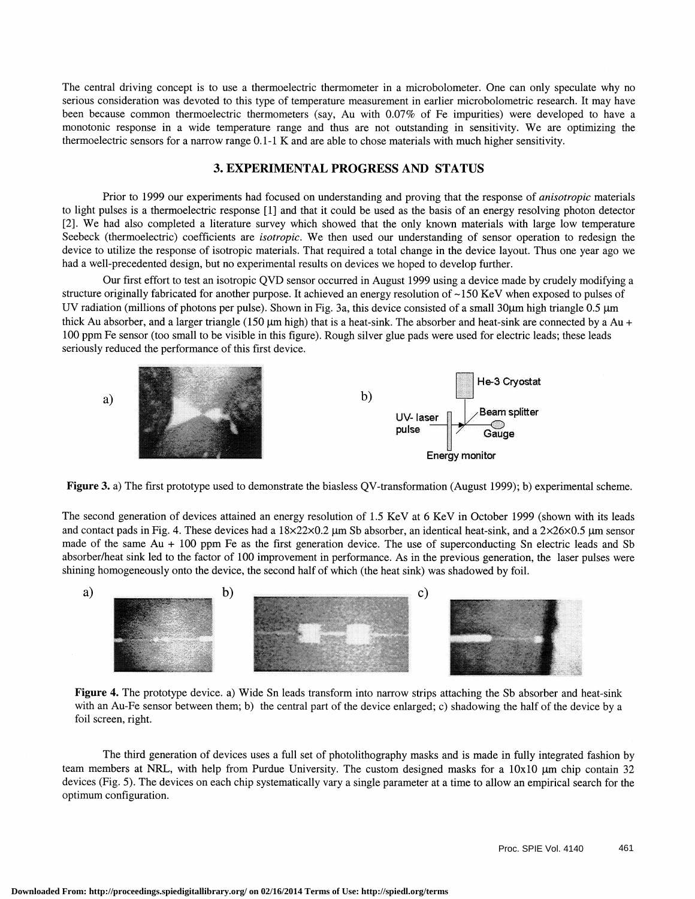The central driving concept is to use a thermoelectric thermometer in a microbolometer. One can only speculate why no serious consideration was devoted to this type of temperature measurement in earlier microbolometric research. It may have been because common thermoelectric thermometers (say, Au with 0.07% of Fe impurities) were developed to have a monotonic response in a wide temperature range and thus are not outstanding in sensitivity. We are optimizing the thermoelectric sensors for a narrow range 0. 1 -1 K and are able to chose materials with much higher sensitivity.

#### 3. EXPERIMENTAL PROGRESS AND STATUS

Prior to 1999 our experiments had focused on understanding and proving that the response of *anisotropic* materials to light pulses is a thermoelectric response [1] and that it could be used as the basis of an energy resolving photon detector [2] . We had also completed a literature survey which showed that the only known materials with large low temperature Seebeck (thermoelectric) coefficients are *isotropic*. We then used our understanding of sensor operation to redesign the device to utilize the response of isotropic materials. That required a total change in the device layout. Thus one year ago we had a well-precedented design, but no experimental results on devices we hoped to develop further.

Our first effort to test an isotropic QVD sensor occurred in August 1999 using a device made by crudely modifying a structure originally fabricated for another purpose. It achieved an energy resolution of  $\sim$ 150 KeV when exposed to pulses of UV radiation (millions of photons per pulse). Shown in Fig. 3a, this device consisted of a small 30um high triangle 0.5 um thick Au absorber, and a larger triangle (150  $\mu$ m high) that is a heat-sink. The absorber and heat-sink are connected by a Au + 100 ppm Fe sensor (too small to be visible in this figure). Rough silver glue pads were used for electric leads; these leads seriously reduced the performance of this first device.



Figure 3. a) The first prototype used to demonstrate the biasless QV-transformation (August 1999); b) experimental scheme.

The second generation of devices attained an energy resolution of 1.5 KeV at 6 KeV in October 1999 (shown with its leads and contact pads in Fig. 4. These devices had a  $18\times22\times0.2$  µm Sb absorber, an identical heat-sink, and a  $2\times26\times0.5$  µm sensor made of the same Au + 100 ppm Fe as the first generation device. The use of superconducting Sn electric leads and Sb absorber/heat sink led to the factor of 100 improvement in performance. As in the previous generation, the laser pulses were shining homogeneously onto the device, the second half of which (the heat sink) was shadowed by foil.





The third generation of devices uses a full set of photolithography masks and is made in fully integrated fashion by team members at NRL, with help from Purdue University. The custom designed masks for a 10x10  $\mu$ m chip contain 32 devices (Fig. 5). The devices on each chip systematically vary a single parameter at a time to allow an empirical search for the optimum configuration.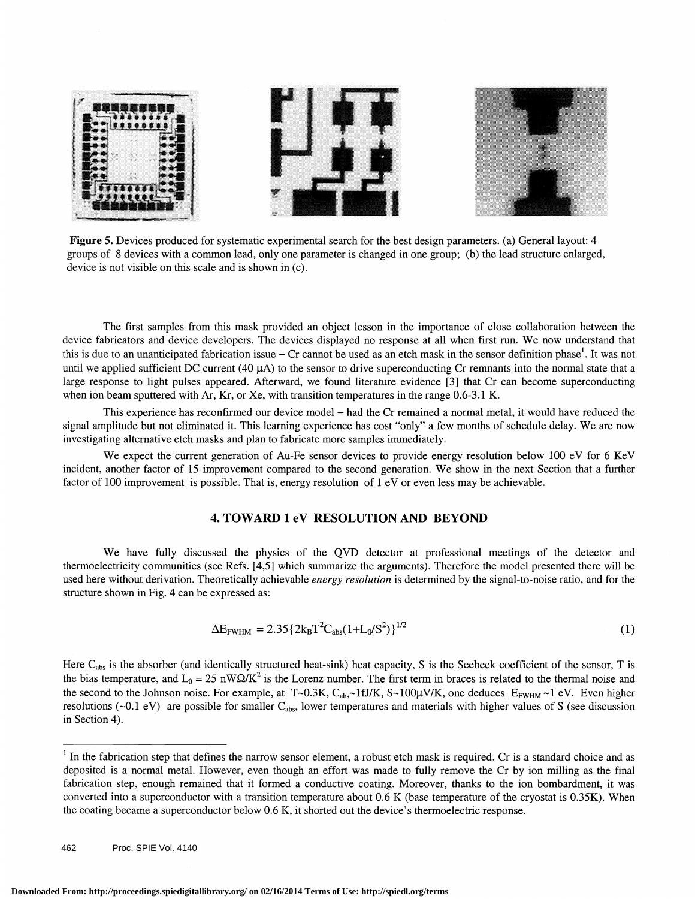

Figure 5. Devices produced for systematic experimental search for the best design parameters. (a) General layout: 4 groups of 8 devices with a common lead, only one parameter is changed in one group; (b) the lead structure enlarged, device is not visible on this scale and is shown in (c).

The first samples from this mask provided an object lesson in the importance of close collaboration between the device fabricators and device developers. The devices displayed no response at all when first run. We now understand that this is due to an unanticipated fabrication issue  $-$  Cr cannot be used as an etch mask in the sensor definition phase<sup>1</sup>. It was not until we applied sufficient DC current (40  $\mu$ A) to the sensor to drive superconducting Cr remnants into the normal state that a large response to light pulses appeared. Afterward, we found literature evidence [3] that Cr can become superconducting when ion beam sputtered with Ar, Kr, or Xe, with transition temperatures in the range 0.6-3.1 K.

This experience has reconfirmed our device model – had the Cr remained a normal metal, it would have reduced the signal amplitude but not eliminated it. This learning experience has cost "only" a few months of schedule delay. We are now investigating alternative etch masks and plan to fabricate more samples immediately.

We expect the current generation of Au-Fe sensor devices to provide energy resolution below 100 eV for 6 KeV incident, another factor of 15 improvement compared to the second generation. We show in the next Section that a further factor of 100 improvement is possible. That is, energy resolution of 1 eY or even less may be achievable.

#### 4. TOWARD 1 eV RESOLUTION AND BEYOND

We have fully discussed the physics of the QVD detector at professional meetings of the detector and thermoelectricity communities (see Refs. [4,5] which summarize the arguments). Therefore the model presented there will be used here without derivation. Theoretically achievable *energy resolution* is determined by the signal-to-noise ratio, and for the structure shown in Fig. 4 can be expressed as:

$$
\Delta E_{\text{FWHM}} = 2.35 \{ 2k_B T^2 C_{\text{abs}} (1 + L_0 / S^2) \}^{1/2}
$$
 (1)

Here  $C_{\text{abs}}$  is the absorber (and identically structured heat-sink) heat capacity, S is the Seebeck coefficient of the sensor, T is the bias temperature, and  $L_0 = 25$  nW $\Omega/K^2$  is the Lorenz number. The first term in braces is related to the thermal noise and the second to the Johnson noise. For example, at T~0.3K,  $C_{abs}$ ~1fJ/K, S~100 $\mu$ V/K, one deduces E<sub>FWHM</sub> ~1 eV. Even higher resolutions ( $-0.1$  eV) are possible for smaller  $C_{abs}$ , lower temperatures and materials with higher values of S (see discussion in Section 4).

 $<sup>1</sup>$  In the fabrication step that defines the narrow sensor element, a robust etch mask is required. Cr is a standard choice and as</sup> deposited is a normal metal. However, even though an effort was made to fully remove the Cr by ion milling as the final fabrication step, enough remained that it formed a conductive coating. Moreover, thanks to the ion bombardment, it was converted into a superconductor with a transition temperature about 0.6 K (base temperature of the cryostat is 0.35K). When the coating became a superconductor below 0.6 K, it shorted out the device's thermoelectric response.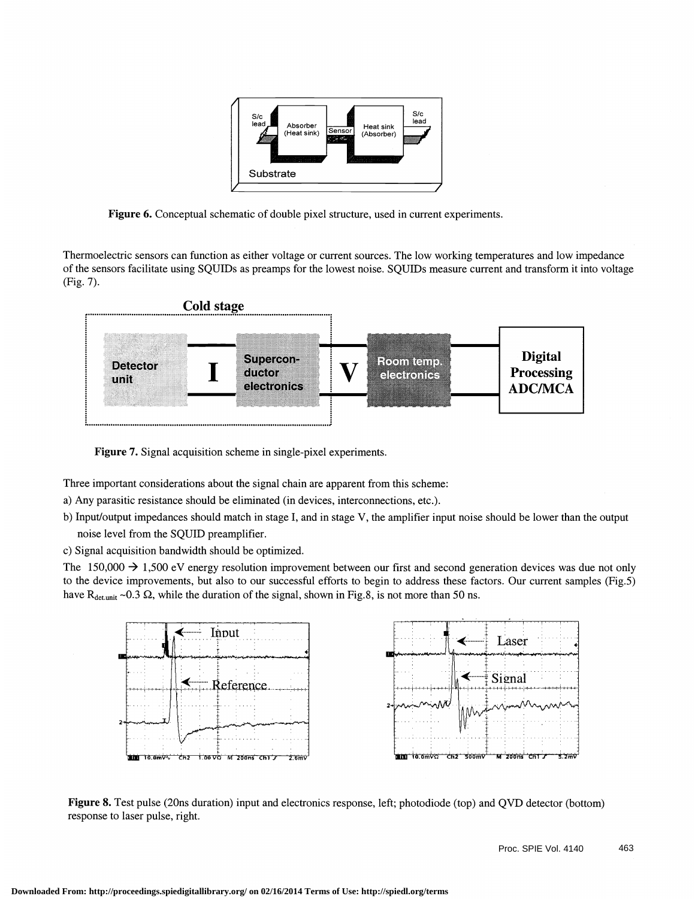

Figure 6. Conceptual schematic of double pixel structure, used in current experiments.

Thermoelectric sensors can function as either voltage or current sources. The low working temperatures and low impedance of the sensors facilitate using SQUIDs as preamps for the lowest noise. SQUIDs measure current and transform it into voltage (Fig. 7).



Figure 7. Signal acquisition scheme in single-pixel experiments.

Three important considerations about the signal chain are apparent from this scheme:

- a) Any parasitic resistance should be eliminated (in devices, interconnections, etc.).
- b) Input/output impedances should match in stage I, and in stage V, the amplifier input noise should be lower than the output noise level from the SQUID preamplifier.
- c) Signal acquisition bandwidth should be optimized.

The 150,000  $\rightarrow$  1,500 eV energy resolution improvement between our first and second generation devices was due not only to the device improvements, but also to our successful efforts to begin to address these factors. Our current samples (Fig.5) have R<sub>detunit</sub> ~0.3  $\Omega$ , while the duration of the signal, shown in Fig.8, is not more than 50 ns.



Figure 8. Test pulse (2Ons duration) input and electronics response, left; photodiode (top) and QVD detector (bottom) response to laser pulse, right.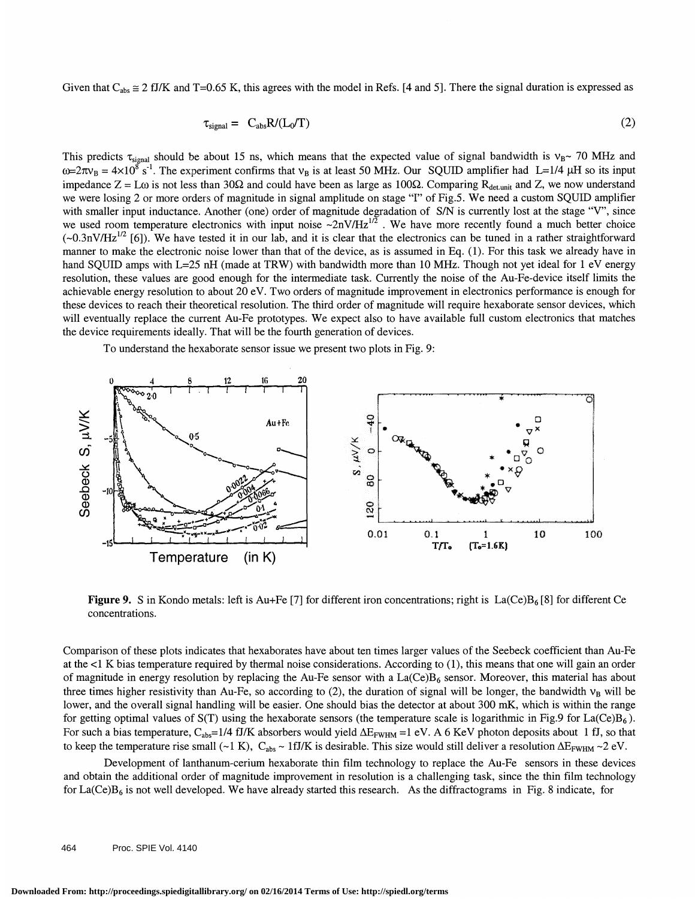Given that  $C_{abs} \cong 2$  fJ/K and T=0.65 K, this agrees with the model in Refs. [4 and 5]. There the signal duration is expressed as

$$
\tau_{\text{signal}} = C_{\text{abs}} R / (L_0 / T) \tag{2}
$$

This predicts  $\tau_{signal}$  should be about 15 ns, which means that the expected value of signal bandwidth is  $v_B \sim 70$  MHz and  $\omega = 2\pi v_B = 4 \times 10^8 \text{ s}^{-1}$ . The experiment confirms that  $v_B$  is at least 50 MHz. Our SQUID amplifier had L=1/4  $\mu$ H so its input impedance  $Z = L\omega$  is not less than 30 $\Omega$  and could have been as large as 100 $\Omega$ . Comparing R<sub>det.unit</sub> and Z, we now understand we were losing 2 or more orders of magnitude in signal amplitude on stage "I" of Fig.5. We need a custom SQUID amplifier with smaller input inductance. Another (one) order of magnitude degradation of S/N is currently lost at the stage "V", since we used room temperature electronics with input noise  $\sim 2nV/Hz^{1/2}$ . We have more recently found a much better choice  $(-0.3nV/Hz^{1/2}$  [6]). We have tested it in our lab, and it is clear that the electronics can be tuned in a rather straightforward manner to make the electronic noise lower than that of the device, as is assumed in Eq. (1). For this task we already have in hand SQUID amps with L=25 nH (made at TRW) with bandwidth more than 10 MHz. Though not yet ideal for 1 eV energy resolution, these values are good enough for the intermediate task. Currently the noise of the Au-Fe-device itself limits the achievable energy resolution to about 20 eV. Two orders of magnitude improvement in electronics performance is enough for these devices to reach their theoretical resolution. The third order of magnitude will require hexaborate sensor devices, which will eventually replace the current Au-Fe prototypes. We expect also to have available full custom electronics that matches the device requirements ideally. That will be the fourth generation of devices.

To understand the hexaborate sensor issue we present two plots in Fig. 9:



**Figure 9.** S in Kondo metals: left is Au+Fe [7] for different iron concentrations; right is La(Ce)B<sub>6</sub> [8] for different Ce concentrations.

Comparison of these plots indicates that hexaborates have about ten times larger values of the Seebeck coefficient than Au-Fe at the <1 K bias temperature required by thermal noise considerations. According to (1), this means that one will gain an order of magnitude in energy resolution by replacing the Au-Fe sensor with a  $La(Ce)B<sub>6</sub>$  sensor. Moreover, this material has about three times higher resistivity than Au-Fe, so according to (2), the duration of signal will be longer, the bandwidth  $v_B$  will be lower, and the overall signal handling will be easier. One should bias the detector at about 300 mK, which is within the range for getting optimal values of  $S(T)$  using the hexaborate sensors (the temperature scale is logarithmic in Fig.9 for La(Ce)B<sub>6</sub>). For such a bias temperature, C<sub>abs</sub>=1/4 fJ/K absorbers would yield  $\Delta E_{FWHM} = 1$  eV. A 6 KeV photon deposits about 1 fJ, so that to keep the temperature rise small (~1 K),  $C_{abs} \sim 1$  fJ/K is desirable. This size would still deliver a resolution  $\Delta E_{FWHM} \sim$ 2 eV.

Development of lanthanum-cerium hexaborate thin film technology to replace the Au-Fe sensors in these devices and obtain the additional order of magnitude improvement in resolution is a challenging task, since the thin film technology for La(Ce) $B_6$  is not well developed. We have already started this research. As the diffractograms in Fig. 8 indicate, for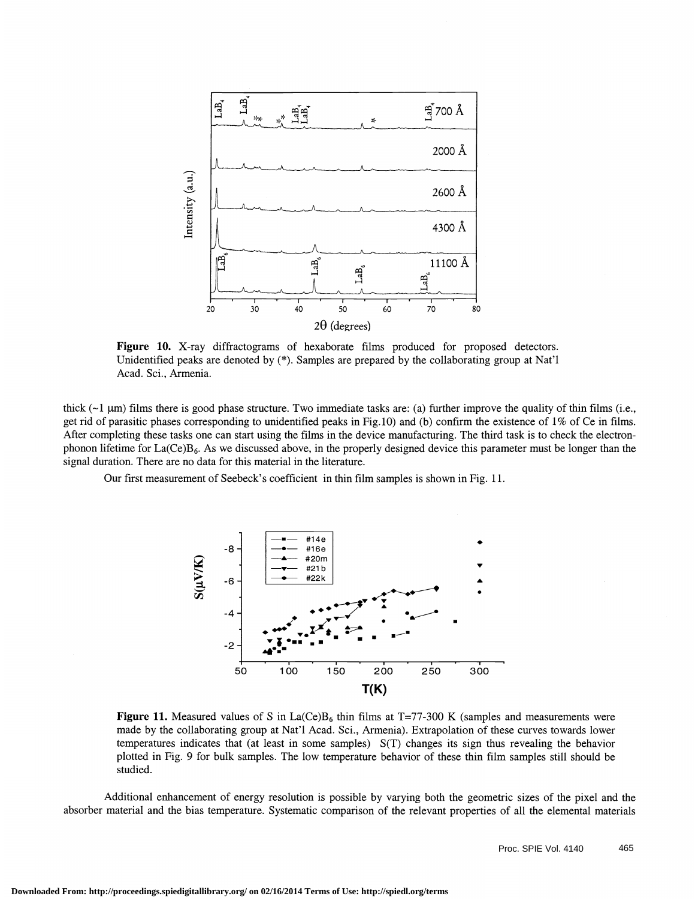

Acad. Sci., Armenia. Unidentified peaks are denoted by  $(*)$ . Samples are prepared by the collaborating group at Nat'l Figure 10. X-ray diffractograms of hexaborate films produced for proposed detectors.

signal duration. There are no data for this material in the literature. phonon lifetime for  $La(Ce)B<sub>6</sub>$ . As we discussed above, in the properly designed device this parameter must be longer than the After completing these tasks one can start using the films in the device manufacturing. The third task is to check the electronget rid of parasitic phases corresponding to unidentified peaks in Fig.10) and (b) confirm the existence of  $1\%$  of Ce in films. thick  $(\sim)$   $\mu$ m) films there is good phase structure. Two immediate tasks are: (a) further improve the quality of thin films (i.e.,

Our first measurement of Seebeck's coefficient in thin film samples is shown in Fig. 11.



studied. temperatures indicates that (at least in some samples) S(T) changes its sign thus revealing the behavior plotted in Fig. 9 for bulk samples. The low temperature behavior of these thin film samples still should be made by the collaborating group at Nat'l Acad. Sci., Armenia). Extrapolation of these curves towards lower<br>temperatures indicates that (at least in some samples) S(T) changes its sign thus revealing the behavior<br>plotted in **Figure 11.** Measured values of S in La(Ce) $B_6$  thin films at T=77-300 K (samples and measurements were

absorber material and the bias temperature. Systematic comparison of the relevant properties of all the elemental materials Additional enhancement of energy resolution is possible by varying both the geometric sizes of the pixel and the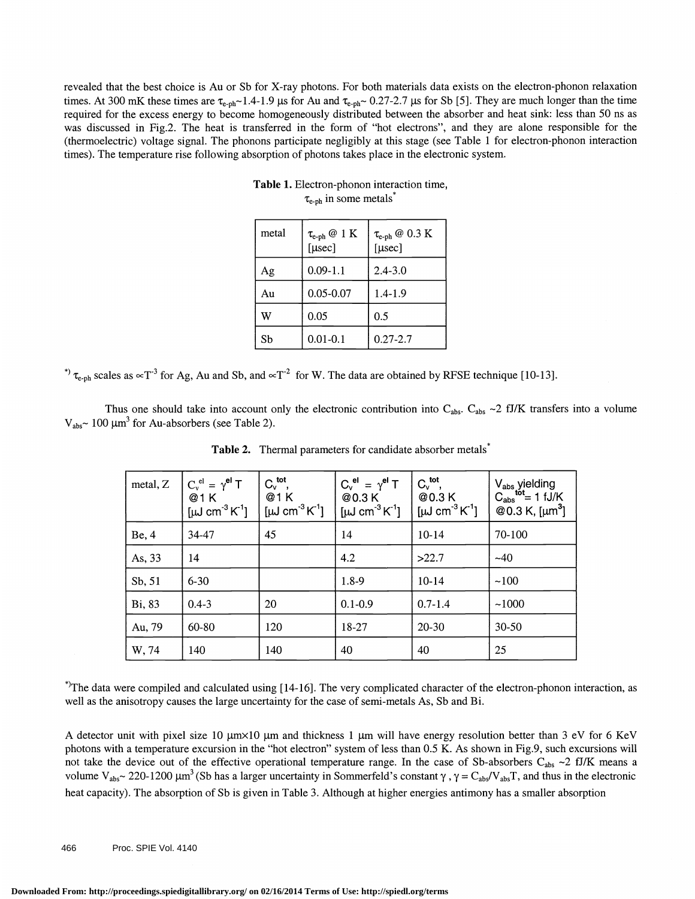revealed that the best choice is Au or Sb for X-ray photons. For both materials data exists on the electron-phonon relaxation times. At 300 mK these times are  $\tau_{e-ph}$  1.4-1.9 µs for Au and  $\tau_{e-ph}$  0.27-2.7 µs for Sb [5]. They are much longer than the time required for the excess energy to become homogeneously distributed between the absorber and heat sink: less than 50 ns as was discussed in Fig.2. The heat is transferred in the form of "hot electrons", and they are alone responsible for the (thermoelectric) voltage signal. The phonons participate negligibly at this stage (see Table 1 for electron-phonon interaction times). The temperature rise following absorption of photons takes place in the electronic system.

| metal | $\tau_{e-ph} \ @\ 1 K$ [µsec] | $\tau_{\text{e-ph}}\,\text{@}\,0.3$ K<br>[usec] |
|-------|-------------------------------|-------------------------------------------------|
| Ag    | $0.09 - 1.1$                  | $2.4 - 3.0$                                     |
| Au    | $0.05 - 0.07$                 | 1.4-1.9                                         |
| W     | 0.05                          | 0.5                                             |
| Sb    | $0.01 - 0.1$                  | $0.27 - 2.7$                                    |

Table 1. Electron-phonon interaction time,  $\tau_{e-ph}$  in some metals<sup>\*</sup>

\*)  $\tau_{e-ph}$  scales as  $\propto T^{-3}$  for Ag, Au and Sb, and  $\propto T^{-2}$  for W. The data are obtained by RFSE technique [10-13].

Thus one should take into account only the electronic contribution into  $C_{abs}$ .  $C_{abs} \sim 2$  fJ/K transfers into a volume  $V_{\text{abs}}$  100  $\mu$ m<sup>3</sup> for Au-absorbers (see Table 2).

| metal, Z | $\begin{bmatrix} C_v^{el} = \gamma^{el} T \\ @1 K \\ [\mu J \text{ cm}^3 K^1] \\ \end{bmatrix} \begin{bmatrix} C_v^{\text{tot}} \\ @1 K \\ [\mu J \text{ cm}^3 K^1] \\ \end{bmatrix}$ |     | $C_v^{el} = \gamma^{el} T$<br>$@0.3K$   $@0.3K$<br>$\left[\begin{smallmatrix} 1 & 0 \\ 0 & 0 \end{smallmatrix} \right]$ $\left[\begin{smallmatrix} 1 & 0 \\ 0 & 0 \end{smallmatrix} \right]$ $\left[\begin{smallmatrix} 1 & 0 \\ 0 & 0 \end{smallmatrix} \right]$ | $C_v^{\text{tot}},$ | $\begin{cases} V_{\text{abs}} & \text{yielding} \\ C_{\text{abs}} & \text{otherwise} \end{cases}$<br>@ 0.3 K, $[\mu m^3]$ |
|----------|---------------------------------------------------------------------------------------------------------------------------------------------------------------------------------------|-----|-------------------------------------------------------------------------------------------------------------------------------------------------------------------------------------------------------------------------------------------------------------------|---------------------|---------------------------------------------------------------------------------------------------------------------------|
| Be, 4    | 34-47                                                                                                                                                                                 | 45  | 14                                                                                                                                                                                                                                                                | $10-14$             | 70-100                                                                                                                    |
| As, 33   | 14                                                                                                                                                                                    |     | 4.2                                                                                                                                                                                                                                                               | >22.7               | $-40$                                                                                                                     |
| Sb, 51   | $6 - 30$                                                                                                                                                                              |     | 1.8-9                                                                                                                                                                                                                                                             | $10-14$             | ~100                                                                                                                      |
| Bi, 83   | $0.4 - 3$                                                                                                                                                                             | 20  | $0.1 - 0.9$                                                                                                                                                                                                                                                       | $0.7 - 1.4$         | ~1000                                                                                                                     |
| Au, 79   | 60-80                                                                                                                                                                                 | 120 | 18-27                                                                                                                                                                                                                                                             | $20 - 30$           | $30 - 50$                                                                                                                 |
| W, 74    | 140                                                                                                                                                                                   | 140 | 40                                                                                                                                                                                                                                                                | 40                  | 25                                                                                                                        |

Table 2. Thermal parameters for candidate absorber metals<sup>\*</sup>

 $\degree$ The data were compiled and calculated using [14-16]. The very complicated character of the electron-phonon interaction, as well as the anisotropy causes the large uncertainty for the case of semi-metals As, Sb and Bi.

A detector unit with pixel size 10  $\mu$ m×10  $\mu$ m and thickness 1  $\mu$ m will have energy resolution better than 3 eV for 6 KeV photons with a temperature excursion in the "hot electron" system of less than 0.5 K. As shown in Fig.9, such excursions will not take the device out of the effective operational temperature range. In the case of Sb-absorbers  $C_{abs} \sim 2$  fJ/K means a volume  $V_{abs} \sim 220{\text -}1200 \mu \text{m}^3$  (Sb has a larger uncertainty in Sommerfeld's constant  $\gamma$ ,  $\gamma = C_{abs}/V_{abs}T$ , and thus in the electronic heat capacity). The absorption of Sb is given in Table 3. Although at higher energies antimony has a smaller absorption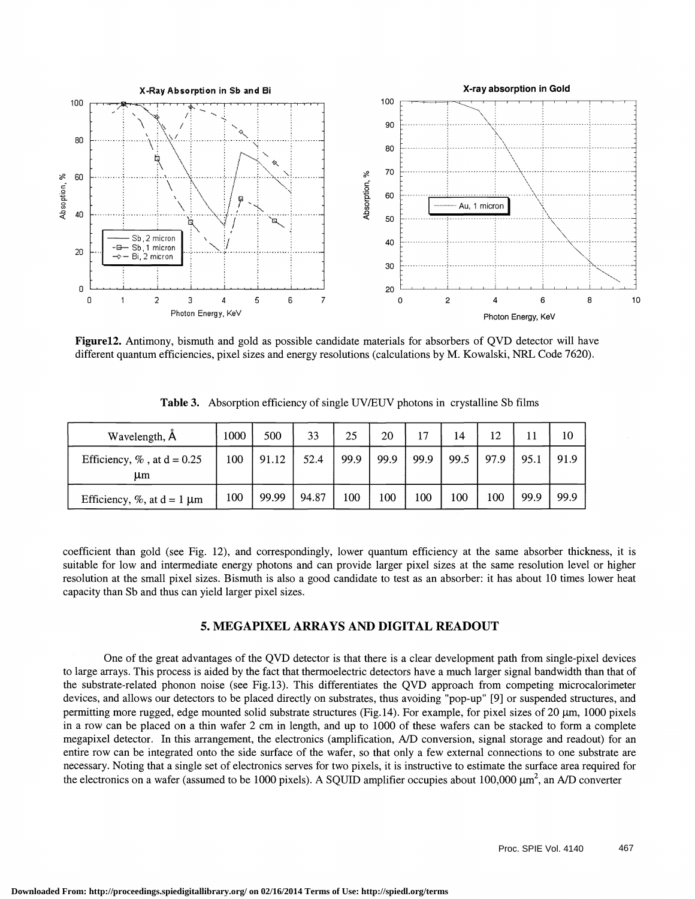

Figurel2. Antimony, bismuth and gold as possible candidate materials for absorbers of QVD detector will have different quantum efficiencies, pixel sizes and energy resolutions (calculations by M. Kowalski, NRL Code 7620).

| Wavelength, A                          | 1000 | 500   | 33    | 25   | 20   | 17   | 14   | 12   |      | 10   |
|----------------------------------------|------|-------|-------|------|------|------|------|------|------|------|
| Efficiency, $\%$ , at $d = 0.25$<br>μm | 100  | 91.12 | 52.4  | 99.9 | 99.9 | 99.9 | 99.5 | 97.9 | 95.1 | 91.9 |
| Efficiency, %, at $d = 1 \mu m$        | 100  | 99.99 | 94.87 | 100  | 100  | 100  | 100  | 100  | 99.9 | 99.9 |

Table 3. Absorption efficiency of single UV/EUV photons in crystalline Sb films

coefficient than gold (see Fig. 12), and correspondingly, lower quantum efficiency at the same absorber thickness, it is suitable for low and intermediate energy photons and can provide larger pixel sizes at the same resolution level or higher resolution at the small pixel sizes. Bismuth is also a good candidate to test as an absorber: it has about 10 times lower heat capacity than Sb and thus can yield larger pixel sizes.

### 5. MEGAPIXEL ARRAYS AND DIGITAL READOUT

One of the great advantages of the QVD detector is that there is a clear development path from single-pixel devices to large arrays. This process is aided by the fact that thermoelectric detectors have a much larger signal bandwidth than that of the substrate-related phonon noise (see Fig. 13). This differentiates the QVD approach from competing microcalorimeter devices, and allows our detectors to be placed directly on substrates, thus avoiding "pop-up" [9] or suspended structures, and permitting more rugged, edge mounted solid substrate structures (Fig. 14). For example, for pixel sizes of 20  $\mu$ m, 1000 pixels in a row can be placed on a thin wafer 2 cm in length, and up to 1000 of these wafers can be stacked to form a complete megapixel detector. In this arrangement, the electronics (amplification, A/D conversion, signal storage and readout) for an entire row can be integrated onto the side surface of the wafer, so that only a few external connections to one substrate are necessary. Noting that a single set of electronics serves for two pixels, it is instructive to estimate the surface area required for the electronics on a wafer (assumed to be 1000 pixels). A SQUID amplifier occupies about 100,000  $\mu$ m<sup>2</sup>, an A/D converter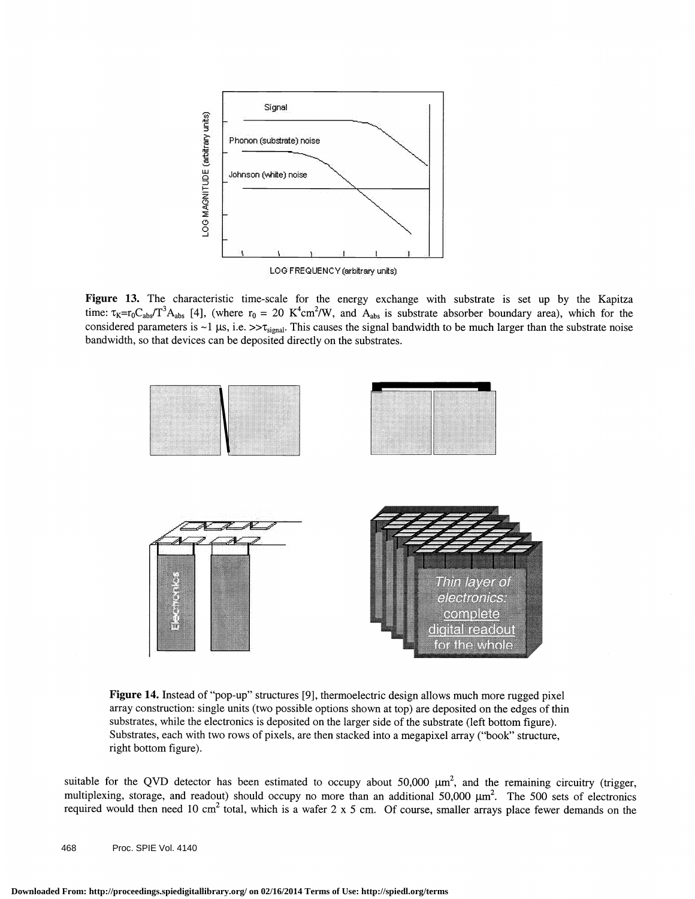

Figure 13. The characteristic time-scale for the energy exchange with substrate is set up by the Kapitza time:  $\tau_K = r_0 C_{\text{abs}}/T^3 A_{\text{abs}}$  [4], (where  $r_0 = 20 \text{ K}^4 \text{cm}^2/\text{W}$ , and  $A_{\text{abs}}$  is substrate absorber boundary area), which for the considered parameters is  $-1$  µs, i.e.  $\gg$  $\tau_{signal}$ . This causes the signal bandwidth to be much larger than the substrate noise bandwidth, so that devices can be deposited directly on the substrates.



Figure 14. Instead of "pop-up" structures [9], thermoelectric design allows much more rugged pixel array construction: single units (two possible options shown at top) are deposited on the edges of thin substrates, while the electronics is deposited on the larger side of the substrate (left bottom figure). Substrates, each with two rows of pixels, are then stacked into a megapixel array ("book" structure, right bottom figure).

suitable for the QVD detector has been estimated to occupy about 50,000  $\mu$ m<sup>2</sup>, and the remaining circuitry (trigger, multiplexing, storage, and readout) should occupy no more than an additional 50,000  $\mu$ m<sup>2</sup>. The 500 sets of electronics required would then need 10 cm<sup>2</sup> total, which is a wafer 2 x 5 cm. Of course, smaller arrays place fewer demands on the